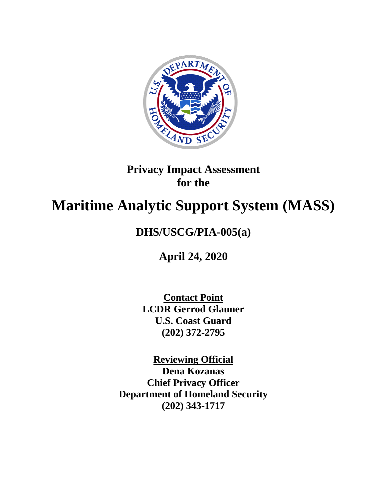

## **Privacy Impact Assessment for the**

# **Maritime Analytic Support System (MASS)**

## **DHS/USCG/PIA-005(a)**

**April 24, 2020**

**Contact Point LCDR Gerrod Glauner U.S. Coast Guard (202) 372-2795**

**Reviewing Official Dena Kozanas Chief Privacy Officer Department of Homeland Security (202) 343-1717**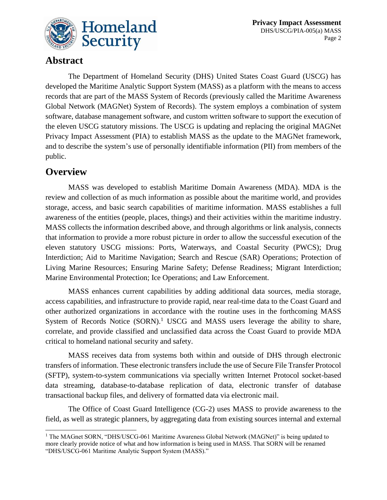

### **Abstract**

The Department of Homeland Security (DHS) United States Coast Guard (USCG) has developed the Maritime Analytic Support System (MASS) as a platform with the means to access records that are part of the MASS System of Records (previously called the Maritime Awareness Global Network (MAGNet) System of Records). The system employs a combination of system software, database management software, and custom written software to support the execution of the eleven USCG statutory missions. The USCG is updating and replacing the original MAGNet Privacy Impact Assessment (PIA) to establish MASS as the update to the MAGNet framework, and to describe the system's use of personally identifiable information (PII) from members of the public.

### **Overview**

l

MASS was developed to establish Maritime Domain Awareness (MDA). MDA is the review and collection of as much information as possible about the maritime world, and provides storage, access, and basic search capabilities of maritime information. MASS establishes a full awareness of the entities (people, places, things) and their activities within the maritime industry. MASS collects the information described above, and through algorithms or link analysis, connects that information to provide a more robust picture in order to allow the successful execution of the eleven statutory USCG missions: Ports, Waterways, and Coastal Security (PWCS); Drug Interdiction; Aid to Maritime Navigation; Search and Rescue (SAR) Operations; Protection of Living Marine Resources; Ensuring Marine Safety; Defense Readiness; Migrant Interdiction; Marine Environmental Protection; Ice Operations; and Law Enforcement.

MASS enhances current capabilities by adding additional data sources, media storage, access capabilities, and infrastructure to provide rapid, near real-time data to the Coast Guard and other authorized organizations in accordance with the routine uses in the forthcoming MASS System of Records Notice (SORN).<sup>1</sup> USCG and MASS users leverage the ability to share, correlate, and provide classified and unclassified data across the Coast Guard to provide MDA critical to homeland national security and safety.

MASS receives data from systems both within and outside of DHS through electronic transfers of information. These electronic transfers include the use of Secure File Transfer Protocol (SFTP), system-to-system communications via specially written Internet Protocol socket-based data streaming, database-to-database replication of data, electronic transfer of database transactional backup files, and delivery of formatted data via electronic mail.

The Office of Coast Guard Intelligence (CG-2) uses MASS to provide awareness to the field, as well as strategic planners, by aggregating data from existing sources internal and external

<sup>&</sup>lt;sup>1</sup> The MAGnet SORN, "DHS/USCG-061 Maritime Awareness Global Network (MAGNet)" is being updated to more clearly provide notice of what and how information is being used in MASS. That SORN will be renamed "DHS/USCG-061 Maritime Analytic Support System (MASS)."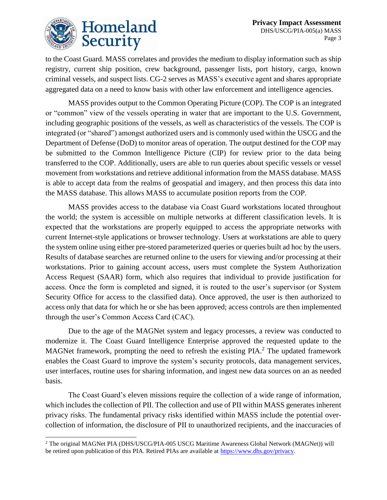

 $\overline{a}$ 

to the Coast Guard. MASS correlates and provides the medium to display information such as ship registry, current ship position, crew background, passenger lists, port history, cargo, known criminal vessels, and suspect lists. CG-2 serves as MASS's executive agent and shares appropriate aggregated data on a need to know basis with other law enforcement and intelligence agencies.

MASS provides output to the Common Operating Picture (COP). The COP is an integrated or "common" view of the vessels operating in water that are important to the U.S. Government, including geographic positions of the vessels, as well as characteristics of the vessels. The COP is integrated (or "shared") amongst authorized users and is commonly used within the USCG and the Department of Defense (DoD) to monitor areas of operation. The output destined for the COP may be submitted to the Common Intelligence Picture (CIP) for review prior to the data being transferred to the COP. Additionally, users are able to run queries about specific vessels or vessel movement from workstations and retrieve additional information from the MASS database. MASS is able to accept data from the realms of geospatial and imagery, and then process this data into the MASS database. This allows MASS to accumulate position reports from the COP.

MASS provides access to the database via Coast Guard workstations located throughout the world; the system is accessible on multiple networks at different classification levels. It is expected that the workstations are properly equipped to access the appropriate networks with current Internet-style applications or browser technology. Users at workstations are able to query the system online using either pre-stored parameterized queries or queries built ad hoc by the users. Results of database searches are returned online to the users for viewing and/or processing at their workstations. Prior to gaining account access, users must complete the System Authorization Access Request (SAAR) form, which also requires that individual to provide justification for access. Once the form is completed and signed, it is routed to the user's supervisor (or System Security Office for access to the classified data). Once approved, the user is then authorized to access only that data for which he or she has been approved; access controls are then implemented through the user's Common Access Card (CAC).

Due to the age of the MAGNet system and legacy processes, a review was conducted to modernize it. The Coast Guard Intelligence Enterprise approved the requested update to the MAGNet framework, prompting the need to refresh the existing PIA.<sup>2</sup> The updated framework enables the Coast Guard to improve the system's security protocols, data management services, user interfaces, routine uses for sharing information, and ingest new data sources on an as needed basis.

The Coast Guard's eleven missions require the collection of a wide range of information, which includes the collection of PII. The collection and use of PII within MASS generates inherent privacy risks. The fundamental privacy risks identified within MASS include the potential overcollection of information, the disclosure of PII to unauthorized recipients, and the inaccuracies of

<sup>2</sup> The original MAGNet PIA (DHS/USCG/PIA-005 USCG Maritime Awareness Global Network (MAGNet)) will be retired upon publication of this PIA. Retired PIAs are available at [https://www.dhs.gov/privacy.](https://www.dhs.gov/privacy)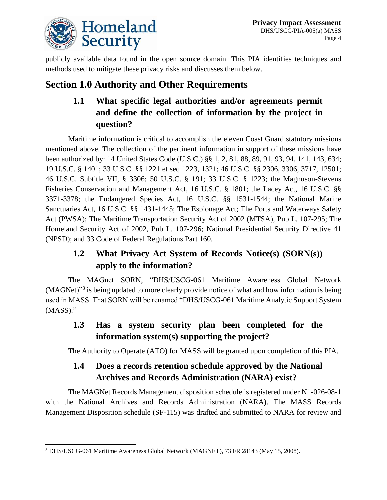

publicly available data found in the open source domain. This PIA identifies techniques and methods used to mitigate these privacy risks and discusses them below.

## **Section 1.0 Authority and Other Requirements**

## **1.1 What specific legal authorities and/or agreements permit and define the collection of information by the project in question?**

Maritime information is critical to accomplish the eleven Coast Guard statutory missions mentioned above. The collection of the pertinent information in support of these missions have been authorized by: 14 United States Code (U.S.C.) §§ 1, 2, 81, 88, 89, 91, 93, 94, 141, 143, 634; 19 U.S.C. § 1401; 33 U.S.C. §§ 1221 et seq 1223, 1321; 46 U.S.C. §§ 2306, 3306, 3717, 12501; 46 U.S.C. Subtitle VII, § 3306; 50 U.S.C. § 191; 33 U.S.C. § 1223; the Magnuson-Stevens Fisheries Conservation and Management Act, 16 U.S.C. § 1801; the Lacey Act, 16 U.S.C. §§ 3371-3378; the Endangered Species Act, 16 U.S.C. §§ 1531-1544; the National Marine Sanctuaries Act, 16 U.S.C. §§ 1431-1445; The Espionage Act; The Ports and Waterways Safety Act (PWSA); The Maritime Transportation Security Act of 2002 (MTSA), Pub L. 107-295; The Homeland Security Act of 2002, Pub L. 107-296; National Presidential Security Directive 41 (NPSD); and 33 Code of Federal Regulations Part 160.

## **1.2 What Privacy Act System of Records Notice(s) (SORN(s)) apply to the information?**

The MAGnet SORN, "DHS/USCG-061 Maritime Awareness Global Network (MAGNet)<sup>33</sup> is being updated to more clearly provide notice of what and how information is being used in MASS. That SORN will be renamed "DHS/USCG-061 Maritime Analytic Support System (MASS)."

### **1.3 Has a system security plan been completed for the information system(s) supporting the project?**

The Authority to Operate (ATO) for MASS will be granted upon completion of this PIA.

#### **1.4 Does a records retention schedule approved by the National Archives and Records Administration (NARA) exist?**

The MAGNet Records Management disposition schedule is registered under N1-026-08-1 with the National Archives and Records Administration (NARA). The MASS Records Management Disposition schedule (SF-115) was drafted and submitted to NARA for review and

l <sup>3</sup> DHS/USCG-061 Maritime Awareness Global Network (MAGNET), 73 FR 28143 (May 15, 2008).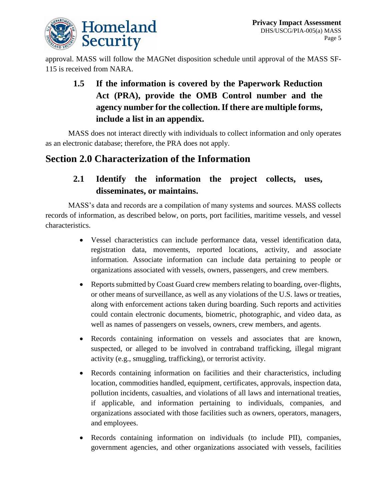

approval. MASS will follow the MAGNet disposition schedule until approval of the MASS SF-115 is received from NARA.

## **1.5 If the information is covered by the Paperwork Reduction Act (PRA), provide the OMB Control number and the agency number for the collection. If there are multiple forms, include a list in an appendix.**

MASS does not interact directly with individuals to collect information and only operates as an electronic database; therefore, the PRA does not apply.

## **Section 2.0 Characterization of the Information**

#### **2.1 Identify the information the project collects, uses, disseminates, or maintains.**

MASS's data and records are a compilation of many systems and sources. MASS collects records of information, as described below, on ports, port facilities, maritime vessels, and vessel characteristics.

- Vessel characteristics can include performance data, vessel identification data, registration data, movements, reported locations, activity, and associate information. Associate information can include data pertaining to people or organizations associated with vessels, owners, passengers, and crew members.
- Reports submitted by Coast Guard crew members relating to boarding, over-flights, or other means of surveillance, as well as any violations of the U.S. laws or treaties, along with enforcement actions taken during boarding. Such reports and activities could contain electronic documents, biometric, photographic, and video data, as well as names of passengers on vessels, owners, crew members, and agents.
- Records containing information on vessels and associates that are known, suspected, or alleged to be involved in contraband trafficking, illegal migrant activity (e.g., smuggling, trafficking), or terrorist activity.
- Records containing information on facilities and their characteristics, including location, commodities handled, equipment, certificates, approvals, inspection data, pollution incidents, casualties, and violations of all laws and international treaties, if applicable, and information pertaining to individuals, companies, and organizations associated with those facilities such as owners, operators, managers, and employees.
- Records containing information on individuals (to include PII), companies, government agencies, and other organizations associated with vessels, facilities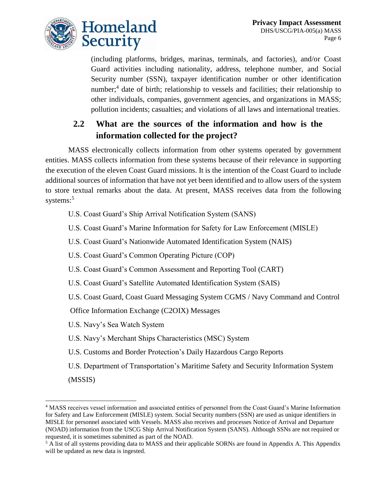

(including platforms, bridges, marinas, terminals, and factories), and/or Coast Guard activities including nationality, address, telephone number, and Social Security number (SSN), taxpayer identification number or other identification number;<sup>4</sup> date of birth; relationship to vessels and facilities; their relationship to other individuals, companies, government agencies, and organizations in MASS; pollution incidents; casualties; and violations of all laws and international treaties.

#### **2.2 What are the sources of the information and how is the information collected for the project?**

MASS electronically collects information from other systems operated by government entities. MASS collects information from these systems because of their relevance in supporting the execution of the eleven Coast Guard missions. It is the intention of the Coast Guard to include additional sources of information that have not yet been identified and to allow users of the system to store textual remarks about the data. At present, MASS receives data from the following systems: 5

U.S. Coast Guard's Ship Arrival Notification System (SANS)

U.S. Coast Guard's Marine Information for Safety for Law Enforcement (MISLE)

U.S. Coast Guard's Nationwide Automated Identification System (NAIS)

U.S. Coast Guard's Common Operating Picture (COP)

U.S. Coast Guard's Common Assessment and Reporting Tool (CART)

U.S. Coast Guard's Satellite Automated Identification System (SAIS)

U.S. Coast Guard, Coast Guard Messaging System CGMS / Navy Command and Control

Office Information Exchange (C2OIX) Messages

U.S. Navy's Sea Watch System

U.S. Navy's Merchant Ships Characteristics (MSC) System

- U.S. Customs and Border Protection's Daily Hazardous Cargo Reports
- U.S. Department of Transportation's Maritime Safety and Security Information System

(MSSIS)

l

<sup>4</sup> MASS receives vessel information and associated entities of personnel from the Coast Guard's Marine Information for Safety and Law Enforcement (MISLE) system. Social Security numbers (SSN) are used as unique identifiers in MISLE for personnel associated with Vessels. MASS also receives and processes Notice of Arrival and Departure (NOAD) information from the USCG Ship Arrival Notification System (SANS). Although SSNs are not required or requested, it is sometimes submitted as part of the NOAD.

<sup>&</sup>lt;sup>5</sup> A list of all systems providing data to MASS and their applicable SORNs are found in Appendix A. This Appendix will be updated as new data is ingested.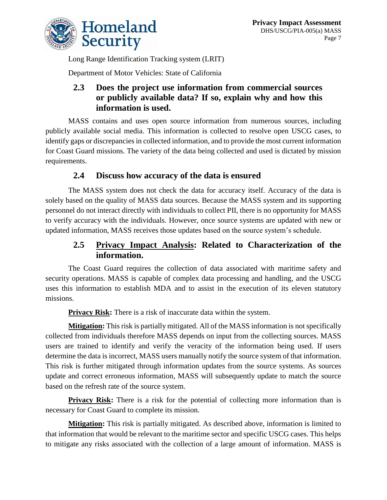

Long Range Identification Tracking system (LRIT)

Department of Motor Vehicles: State of California

#### **2.3 Does the project use information from commercial sources or publicly available data? If so, explain why and how this information is used.**

MASS contains and uses open source information from numerous sources, including publicly available social media. This information is collected to resolve open USCG cases, to identify gaps or discrepancies in collected information, and to provide the most current information for Coast Guard missions. The variety of the data being collected and used is dictated by mission requirements.

#### **2.4 Discuss how accuracy of the data is ensured**

The MASS system does not check the data for accuracy itself. Accuracy of the data is solely based on the quality of MASS data sources. Because the MASS system and its supporting personnel do not interact directly with individuals to collect PII, there is no opportunity for MASS to verify accuracy with the individuals. However, once source systems are updated with new or updated information, MASS receives those updates based on the source system's schedule.

#### **2.5 Privacy Impact Analysis: Related to Characterization of the information.**

The Coast Guard requires the collection of data associated with maritime safety and security operations. MASS is capable of complex data processing and handling, and the USCG uses this information to establish MDA and to assist in the execution of its eleven statutory missions.

**Privacy Risk:** There is a risk of inaccurate data within the system.

**Mitigation:** This risk is partially mitigated. All of the MASS information is not specifically collected from individuals therefore MASS depends on input from the collecting sources. MASS users are trained to identify and verify the veracity of the information being used. If users determine the data is incorrect, MASS users manually notify the source system of that information. This risk is further mitigated through information updates from the source systems. As sources update and correct erroneous information, MASS will subsequently update to match the source based on the refresh rate of the source system.

**Privacy Risk:** There is a risk for the potential of collecting more information than is necessary for Coast Guard to complete its mission.

**Mitigation:** This risk is partially mitigated. As described above, information is limited to that information that would be relevant to the maritime sector and specific USCG cases. This helps to mitigate any risks associated with the collection of a large amount of information. MASS is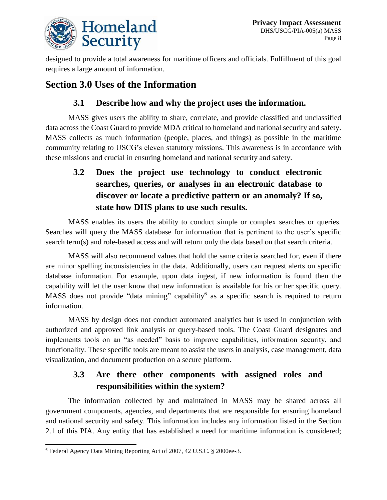

designed to provide a total awareness for maritime officers and officials. Fulfillment of this goal requires a large amount of information.

## **Section 3.0 Uses of the Information**

#### **3.1 Describe how and why the project uses the information.**

MASS gives users the ability to share, correlate, and provide classified and unclassified data across the Coast Guard to provide MDA critical to homeland and national security and safety. MASS collects as much information (people, places, and things) as possible in the maritime community relating to USCG's eleven statutory missions. This awareness is in accordance with these missions and crucial in ensuring homeland and national security and safety.

## **3.2 Does the project use technology to conduct electronic searches, queries, or analyses in an electronic database to discover or locate a predictive pattern or an anomaly? If so, state how DHS plans to use such results.**

MASS enables its users the ability to conduct simple or complex searches or queries. Searches will query the MASS database for information that is pertinent to the user's specific search term(s) and role-based access and will return only the data based on that search criteria.

MASS will also recommend values that hold the same criteria searched for, even if there are minor spelling inconsistencies in the data. Additionally, users can request alerts on specific database information. For example, upon data ingest, if new information is found then the capability will let the user know that new information is available for his or her specific query. MASS does not provide "data mining" capability<sup>6</sup> as a specific search is required to return information.

MASS by design does not conduct automated analytics but is used in conjunction with authorized and approved link analysis or query-based tools. The Coast Guard designates and implements tools on an "as needed" basis to improve capabilities, information security, and functionality. These specific tools are meant to assist the users in analysis, case management, data visualization, and document production on a secure platform.

### **3.3 Are there other components with assigned roles and responsibilities within the system?**

The information collected by and maintained in MASS may be shared across all government components, agencies, and departments that are responsible for ensuring homeland and national security and safety. This information includes any information listed in the Section 2.1 of this PIA. Any entity that has established a need for maritime information is considered;

l <sup>6</sup> Federal Agency Data Mining Reporting Act of 2007, 42 U.S.C. § 2000ee-3.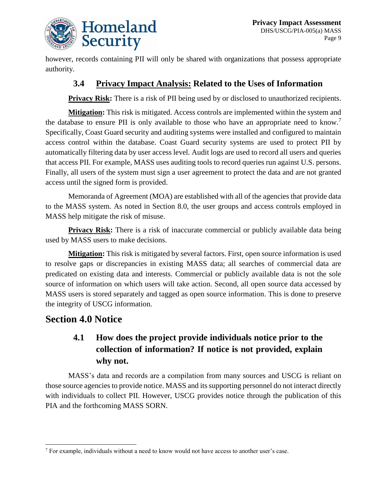

however, records containing PII will only be shared with organizations that possess appropriate authority.

#### **3.4 Privacy Impact Analysis: Related to the Uses of Information**

**Privacy Risk:** There is a risk of PII being used by or disclosed to unauthorized recipients.

**Mitigation:** This risk is mitigated. Access controls are implemented within the system and the database to ensure PII is only available to those who have an appropriate need to know.<sup>7</sup> Specifically, Coast Guard security and auditing systems were installed and configured to maintain access control within the database. Coast Guard security systems are used to protect PII by automatically filtering data by user access level. Audit logs are used to record all users and queries that access PII. For example, MASS uses auditing tools to record queries run against U.S. persons. Finally, all users of the system must sign a user agreement to protect the data and are not granted access until the signed form is provided.

Memoranda of Agreement (MOA) are established with all of the agencies that provide data to the MASS system. As noted in Section 8.0, the user groups and access controls employed in MASS help mitigate the risk of misuse.

**Privacy Risk:** There is a risk of inaccurate commercial or publicly available data being used by MASS users to make decisions.

**Mitigation:** This risk is mitigated by several factors. First, open source information is used to resolve gaps or discrepancies in existing MASS data; all searches of commercial data are predicated on existing data and interests. Commercial or publicly available data is not the sole source of information on which users will take action. Second, all open source data accessed by MASS users is stored separately and tagged as open source information. This is done to preserve the integrity of USCG information.

#### **Section 4.0 Notice**

l

### **4.1 How does the project provide individuals notice prior to the collection of information? If notice is not provided, explain why not.**

MASS's data and records are a compilation from many sources and USCG is reliant on those source agencies to provide notice. MASS and its supporting personnel do not interact directly with individuals to collect PII. However, USCG provides notice through the publication of this PIA and the forthcoming MASS SORN.

<sup>7</sup> For example, individuals without a need to know would not have access to another user's case.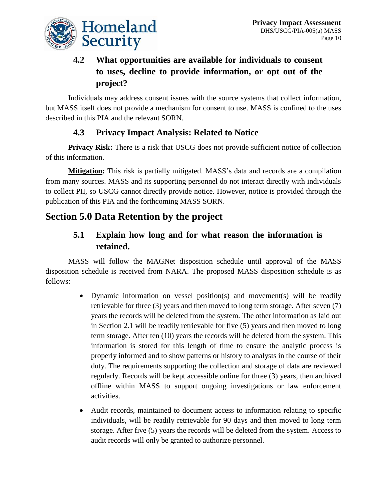

## **4.2 What opportunities are available for individuals to consent to uses, decline to provide information, or opt out of the project?**

Individuals may address consent issues with the source systems that collect information, but MASS itself does not provide a mechanism for consent to use. MASS is confined to the uses described in this PIA and the relevant SORN.

#### **4.3 Privacy Impact Analysis: Related to Notice**

**Privacy Risk:** There is a risk that USCG does not provide sufficient notice of collection of this information.

**Mitigation:** This risk is partially mitigated. MASS's data and records are a compilation from many sources. MASS and its supporting personnel do not interact directly with individuals to collect PII, so USCG cannot directly provide notice. However, notice is provided through the publication of this PIA and the forthcoming MASS SORN.

## **Section 5.0 Data Retention by the project**

#### **5.1 Explain how long and for what reason the information is retained.**

MASS will follow the MAGNet disposition schedule until approval of the MASS disposition schedule is received from NARA. The proposed MASS disposition schedule is as follows:

- Dynamic information on vessel position(s) and movement(s) will be readily retrievable for three (3) years and then moved to long term storage. After seven (7) years the records will be deleted from the system. The other information as laid out in Section 2.1 will be readily retrievable for five (5) years and then moved to long term storage. After ten (10) years the records will be deleted from the system. This information is stored for this length of time to ensure the analytic process is properly informed and to show patterns or history to analysts in the course of their duty. The requirements supporting the collection and storage of data are reviewed regularly. Records will be kept accessible online for three (3) years, then archived offline within MASS to support ongoing investigations or law enforcement activities.
- Audit records, maintained to document access to information relating to specific individuals, will be readily retrievable for 90 days and then moved to long term storage. After five (5) years the records will be deleted from the system. Access to audit records will only be granted to authorize personnel.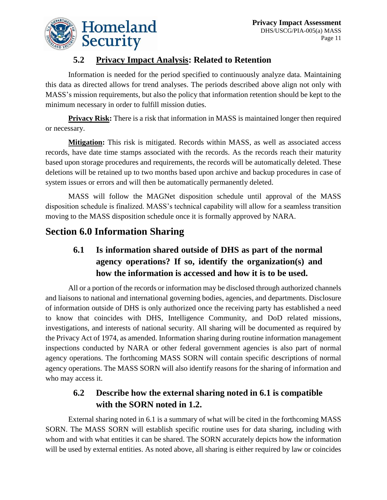

## **5.2 Privacy Impact Analysis: Related to Retention**

Information is needed for the period specified to continuously analyze data. Maintaining this data as directed allows for trend analyses. The periods described above align not only with MASS's mission requirements, but also the policy that information retention should be kept to the minimum necessary in order to fulfill mission duties.

**Privacy Risk:** There is a risk that information in MASS is maintained longer then required or necessary.

**Mitigation:** This risk is mitigated. Records within MASS, as well as associated access records, have date time stamps associated with the records. As the records reach their maturity based upon storage procedures and requirements, the records will be automatically deleted. These deletions will be retained up to two months based upon archive and backup procedures in case of system issues or errors and will then be automatically permanently deleted.

MASS will follow the MAGNet disposition schedule until approval of the MASS disposition schedule is finalized. MASS's technical capability will allow for a seamless transition moving to the MASS disposition schedule once it is formally approved by NARA.

## **Section 6.0 Information Sharing**

### **6.1 Is information shared outside of DHS as part of the normal agency operations? If so, identify the organization(s) and how the information is accessed and how it is to be used.**

All or a portion of the records or information may be disclosed through authorized channels and liaisons to national and international governing bodies, agencies, and departments. Disclosure of information outside of DHS is only authorized once the receiving party has established a need to know that coincides with DHS, Intelligence Community, and DoD related missions, investigations, and interests of national security. All sharing will be documented as required by the Privacy Act of 1974, as amended. Information sharing during routine information management inspections conducted by NARA or other federal government agencies is also part of normal agency operations. The forthcoming MASS SORN will contain specific descriptions of normal agency operations. The MASS SORN will also identify reasons for the sharing of information and who may access it.

#### **6.2 Describe how the external sharing noted in 6.1 is compatible with the SORN noted in 1.2.**

External sharing noted in 6.1 is a summary of what will be cited in the forthcoming MASS SORN. The MASS SORN will establish specific routine uses for data sharing, including with whom and with what entities it can be shared. The SORN accurately depicts how the information will be used by external entities. As noted above, all sharing is either required by law or coincides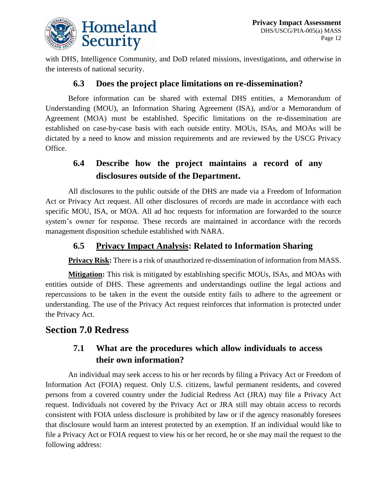

with DHS, Intelligence Community, and DoD related missions, investigations, and otherwise in the interests of national security.

#### **6.3 Does the project place limitations on re-dissemination?**

Before information can be shared with external DHS entities, a Memorandum of Understanding (MOU), an Information Sharing Agreement (ISA), and/or a Memorandum of Agreement (MOA) must be established. Specific limitations on the re-dissemination are established on case-by-case basis with each outside entity. MOUs, ISAs, and MOAs will be dictated by a need to know and mission requirements and are reviewed by the USCG Privacy Office.

### **6.4 Describe how the project maintains a record of any disclosures outside of the Department.**

All disclosures to the public outside of the DHS are made via a Freedom of Information Act or Privacy Act request. All other disclosures of records are made in accordance with each specific MOU, ISA, or MOA. All ad hoc requests for information are forwarded to the source system's owner for response. These records are maintained in accordance with the records management disposition schedule established with NARA.

#### **6.5 Privacy Impact Analysis: Related to Information Sharing**

**Privacy Risk:** There is a risk of unauthorized re-dissemination of information from MASS.

**Mitigation:** This risk is mitigated by establishing specific MOUs, ISAs, and MOAs with entities outside of DHS. These agreements and understandings outline the legal actions and repercussions to be taken in the event the outside entity fails to adhere to the agreement or understanding. The use of the Privacy Act request reinforces that information is protected under the Privacy Act.

#### **Section 7.0 Redress**

#### **7.1 What are the procedures which allow individuals to access their own information?**

An individual may seek access to his or her records by filing a Privacy Act or Freedom of Information Act (FOIA) request. Only U.S. citizens, lawful permanent residents, and covered persons from a covered country under the Judicial Redress Act (JRA) may file a Privacy Act request. Individuals not covered by the Privacy Act or JRA still may obtain access to records consistent with FOIA unless disclosure is prohibited by law or if the agency reasonably foresees that disclosure would harm an interest protected by an exemption. If an individual would like to file a Privacy Act or FOIA request to view his or her record, he or she may mail the request to the following address: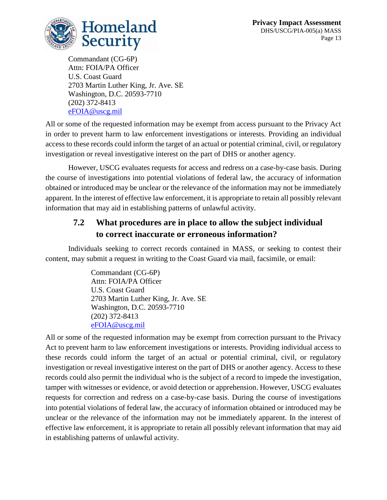

Commandant (CG-6P) Attn: FOIA/PA Officer U.S. Coast Guard 2703 Martin Luther King, Jr. Ave. SE Washington, D.C. 20593-7710 (202) 372-8413 [eFOIA@uscg.mil](mailto:eFOIA@uscg.mil)

All or some of the requested information may be exempt from access pursuant to the Privacy Act in order to prevent harm to law enforcement investigations or interests. Providing an individual access to these records could inform the target of an actual or potential criminal, civil, or regulatory investigation or reveal investigative interest on the part of DHS or another agency.

However, USCG evaluates requests for access and redress on a case-by-case basis. During the course of investigations into potential violations of federal law, the accuracy of information obtained or introduced may be unclear or the relevance of the information may not be immediately apparent. In the interest of effective law enforcement, it is appropriate to retain all possibly relevant information that may aid in establishing patterns of unlawful activity.

#### **7.2 What procedures are in place to allow the subject individual to correct inaccurate or erroneous information?**

Individuals seeking to correct records contained in MASS, or seeking to contest their content, may submit a request in writing to the Coast Guard via mail, facsimile, or email:

> Commandant (CG-6P) Attn: FOIA/PA Officer U.S. Coast Guard 2703 Martin Luther King, Jr. Ave. SE Washington, D.C. 20593-7710 (202) 372-8413 [eFOIA@uscg.mil](mailto:eFOIA@uscg.mil)

All or some of the requested information may be exempt from correction pursuant to the Privacy Act to prevent harm to law enforcement investigations or interests. Providing individual access to these records could inform the target of an actual or potential criminal, civil, or regulatory investigation or reveal investigative interest on the part of DHS or another agency. Access to these records could also permit the individual who is the subject of a record to impede the investigation, tamper with witnesses or evidence, or avoid detection or apprehension. However, USCG evaluates requests for correction and redress on a case-by-case basis. During the course of investigations into potential violations of federal law, the accuracy of information obtained or introduced may be unclear or the relevance of the information may not be immediately apparent. In the interest of effective law enforcement, it is appropriate to retain all possibly relevant information that may aid in establishing patterns of unlawful activity.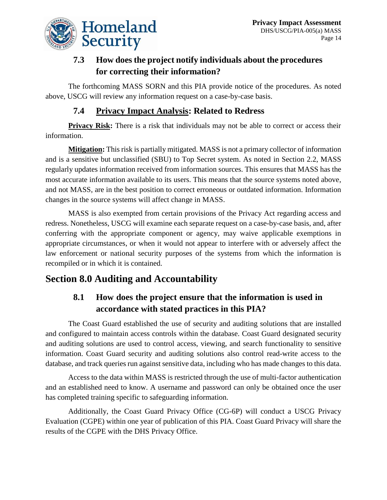

### **7.3 How does the project notify individuals about the procedures for correcting their information?**

The forthcoming MASS SORN and this PIA provide notice of the procedures. As noted above, USCG will review any information request on a case-by-case basis.

#### **7.4 Privacy Impact Analysis: Related to Redress**

**Privacy Risk:** There is a risk that individuals may not be able to correct or access their information.

**Mitigation:** This risk is partially mitigated. MASS is not a primary collector of information and is a sensitive but unclassified (SBU) to Top Secret system. As noted in Section 2.2, MASS regularly updates information received from information sources. This ensures that MASS has the most accurate information available to its users. This means that the source systems noted above, and not MASS, are in the best position to correct erroneous or outdated information. Information changes in the source systems will affect change in MASS.

MASS is also exempted from certain provisions of the Privacy Act regarding access and redress. Nonetheless, USCG will examine each separate request on a case-by-case basis, and, after conferring with the appropriate component or agency, may waive applicable exemptions in appropriate circumstances, or when it would not appear to interfere with or adversely affect the law enforcement or national security purposes of the systems from which the information is recompiled or in which it is contained.

## **Section 8.0 Auditing and Accountability**

## **8.1 How does the project ensure that the information is used in accordance with stated practices in this PIA?**

The Coast Guard established the use of security and auditing solutions that are installed and configured to maintain access controls within the database. Coast Guard designated security and auditing solutions are used to control access, viewing, and search functionality to sensitive information. Coast Guard security and auditing solutions also control read-write access to the database, and track queries run against sensitive data, including who has made changes to this data.

Access to the data within MASS is restricted through the use of multi-factor authentication and an established need to know. A username and password can only be obtained once the user has completed training specific to safeguarding information.

Additionally, the Coast Guard Privacy Office (CG-6P) will conduct a USCG Privacy Evaluation (CGPE) within one year of publication of this PIA. Coast Guard Privacy will share the results of the CGPE with the DHS Privacy Office.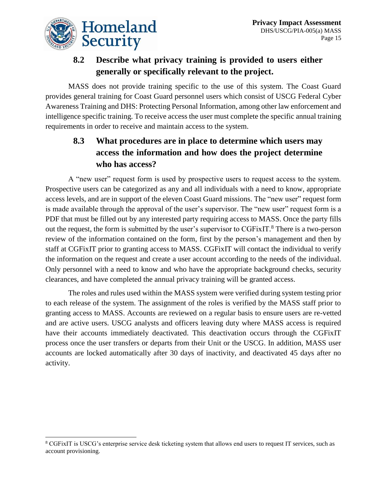

 $\overline{a}$ 

#### **8.2 Describe what privacy training is provided to users either generally or specifically relevant to the project.**

MASS does not provide training specific to the use of this system. The Coast Guard provides general training for Coast Guard personnel users which consist of USCG Federal Cyber Awareness Training and DHS: Protecting Personal Information, among other law enforcement and intelligence specific training. To receive access the user must complete the specific annual training requirements in order to receive and maintain access to the system.

#### **8.3 What procedures are in place to determine which users may access the information and how does the project determine who has access?**

A "new user" request form is used by prospective users to request access to the system. Prospective users can be categorized as any and all individuals with a need to know, appropriate access levels, and are in support of the eleven Coast Guard missions. The "new user" request form is made available through the approval of the user's supervisor. The "new user" request form is a PDF that must be filled out by any interested party requiring access to MASS. Once the party fills out the request, the form is submitted by the user's supervisor to CGFixIT.<sup>8</sup> There is a two-person review of the information contained on the form, first by the person's management and then by staff at CGFixIT prior to granting access to MASS. CGFixIT will contact the individual to verify the information on the request and create a user account according to the needs of the individual. Only personnel with a need to know and who have the appropriate background checks, security clearances, and have completed the annual privacy training will be granted access.

The roles and rules used within the MASS system were verified during system testing prior to each release of the system. The assignment of the roles is verified by the MASS staff prior to granting access to MASS. Accounts are reviewed on a regular basis to ensure users are re-vetted and are active users. USCG analysts and officers leaving duty where MASS access is required have their accounts immediately deactivated. This deactivation occurs through the CGFixIT process once the user transfers or departs from their Unit or the USCG. In addition, MASS user accounts are locked automatically after 30 days of inactivity, and deactivated 45 days after no activity.

<sup>8</sup> CGFixIT is USCG's enterprise service desk ticketing system that allows end users to request IT services, such as account provisioning.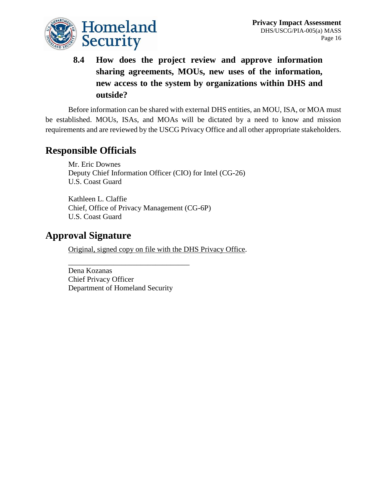

**8.4 How does the project review and approve information sharing agreements, MOUs, new uses of the information, new access to the system by organizations within DHS and outside?**

Before information can be shared with external DHS entities, an MOU, ISA, or MOA must be established. MOUs, ISAs, and MOAs will be dictated by a need to know and mission requirements and are reviewed by the USCG Privacy Office and all other appropriate stakeholders.

## **Responsible Officials**

Mr. Eric Downes Deputy Chief Information Officer (CIO) for Intel (CG-26) U.S. Coast Guard

Kathleen L. Claffie Chief, Office of Privacy Management (CG-6P) U.S. Coast Guard

### **Approval Signature**

Original, signed copy on file with the DHS Privacy Office.

Dena Kozanas Chief Privacy Officer Department of Homeland Security

\_\_\_\_\_\_\_\_\_\_\_\_\_\_\_\_\_\_\_\_\_\_\_\_\_\_\_\_\_\_\_\_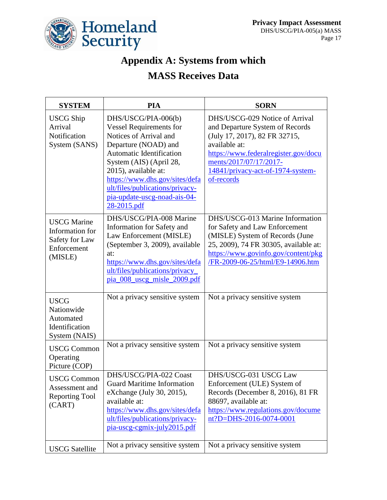

## **Appendix A: Systems from which**

## **MASS Receives Data**

| <b>SYSTEM</b>                                                                     | <b>PIA</b>                                                                                                                                                                                                                                                                                                 | <b>SORN</b>                                                                                                                                                                                                                              |
|-----------------------------------------------------------------------------------|------------------------------------------------------------------------------------------------------------------------------------------------------------------------------------------------------------------------------------------------------------------------------------------------------------|------------------------------------------------------------------------------------------------------------------------------------------------------------------------------------------------------------------------------------------|
| <b>USCG Ship</b><br>Arrival<br>Notification<br>System (SANS)                      | DHS/USCG/PIA-006(b)<br><b>Vessel Requirements for</b><br>Notices of Arrival and<br>Departure (NOAD) and<br>Automatic Identification<br>System (AIS) (April 28,<br>2015), available at:<br>https://www.dhs.gov/sites/defa<br>ult/files/publications/privacy-<br>pia-update-uscg-noad-ais-04-<br>28-2015.pdf | DHS/USCG-029 Notice of Arrival<br>and Departure System of Records<br>(July 17, 2017), 82 FR 32715,<br>available at:<br>https://www.federalregister.gov/docu<br>ments/2017/07/17/2017-<br>14841/privacy-act-of-1974-system-<br>of-records |
| <b>USCG</b> Marine<br>Information for<br>Safety for Law<br>Enforcement<br>(MISLE) | DHS/USCG/PIA-008 Marine<br>Information for Safety and<br>Law Enforcement (MISLE)<br>(September 3, 2009), available<br>at:<br>https://www.dhs.gov/sites/defa<br>ult/files/publications/privacy_<br>pia 008 useg misle 2009.pdf                                                                              | DHS/USCG-013 Marine Information<br>for Safety and Law Enforcement<br>(MISLE) System of Records (June<br>25, 2009), 74 FR 30305, available at:<br>https://www.govinfo.gov/content/pkg<br>/FR-2009-06-25/html/E9-14906.htm                 |
| <b>USCG</b><br>Nationwide<br>Automated<br>Identification<br>System (NAIS)         | Not a privacy sensitive system                                                                                                                                                                                                                                                                             | Not a privacy sensitive system                                                                                                                                                                                                           |
| <b>USCG Common</b><br>Operating<br>Picture (COP)                                  | Not a privacy sensitive system                                                                                                                                                                                                                                                                             | Not a privacy sensitive system                                                                                                                                                                                                           |
| <b>USCG Common</b><br>Assessment and<br><b>Reporting Tool</b><br>(CART)           | DHS/USCG/PIA-022 Coast<br><b>Guard Maritime Information</b><br>eXchange (July 30, 2015),<br>available at:<br>https://www.dhs.gov/sites/defa<br>ult/files/publications/privacy-<br>pia-uscg-cgmix-july2015.pdf                                                                                              | DHS/USCG-031 USCG Law<br>Enforcement (ULE) System of<br>Records (December 8, 2016), 81 FR<br>88697, available at:<br>https://www.regulations.gov/docume<br>nt?D=DHS-2016-0074-0001                                                       |
| <b>USCG</b> Satellite                                                             | Not a privacy sensitive system                                                                                                                                                                                                                                                                             | Not a privacy sensitive system                                                                                                                                                                                                           |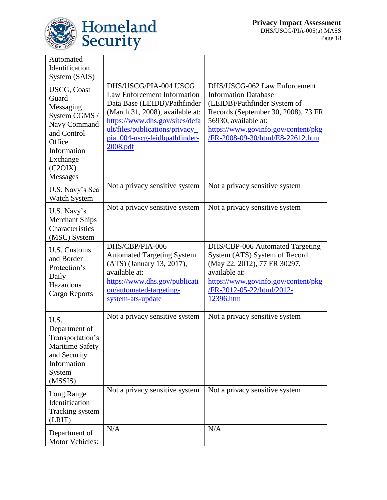

| Automated<br>Identification<br>System (SAIS)                                                                                                                |                                                                                                                                                                                                                                                 |                                                                                                                                                                                                                                       |
|-------------------------------------------------------------------------------------------------------------------------------------------------------------|-------------------------------------------------------------------------------------------------------------------------------------------------------------------------------------------------------------------------------------------------|---------------------------------------------------------------------------------------------------------------------------------------------------------------------------------------------------------------------------------------|
| <b>USCG, Coast</b><br>Guard<br>Messaging<br>System CGMS /<br>Navy Command<br>and Control<br>Office<br>Information<br>Exchange<br>(C2OIX)<br><b>Messages</b> | DHS/USCG/PIA-004 USCG<br>Law Enforcement Information<br>Data Base (LEIDB)/Pathfinder<br>(March 31, 2008), available at:<br>https://www.dhs.gov/sites/defa<br>ult/files/publications/privacy<br>pia_004-uscg-leidbpathfinder-<br><u>2008.pdf</u> | DHS/USCG-062 Law Enforcement<br><b>Information Database</b><br>(LEIDB)/Pathfinder System of<br>Records (September 30, 2008), 73 FR<br>56930, available at:<br>https://www.govinfo.gov/content/pkg<br>/FR-2008-09-30/html/E8-22612.htm |
| U.S. Navy's Sea<br><b>Watch System</b>                                                                                                                      | Not a privacy sensitive system                                                                                                                                                                                                                  | Not a privacy sensitive system                                                                                                                                                                                                        |
| U.S. Navy's<br><b>Merchant Ships</b><br>Characteristics<br>(MSC) System                                                                                     | Not a privacy sensitive system                                                                                                                                                                                                                  | Not a privacy sensitive system                                                                                                                                                                                                        |
| <b>U.S. Customs</b><br>and Border<br>Protection's<br>Daily<br>Hazardous<br>Cargo Reports                                                                    | DHS/CBP/PIA-006<br><b>Automated Targeting System</b><br>(ATS) (January 13, 2017),<br>available at:<br>https://www.dhs.gov/publicati<br>on/automated-targeting-<br>system-ats-update                                                             | DHS/CBP-006 Automated Targeting<br>System (ATS) System of Record<br>(May 22, 2012), 77 FR 30297,<br>available at:<br>https://www.govinfo.gov/content/pkg<br>/FR-2012-05-22/html/2012-<br>12396.htm                                    |
| U.S.<br>Department of<br>Transportation's<br>Maritime Safety<br>and Security<br>Information<br>System<br>(MSSIS)                                            | Not a privacy sensitive system                                                                                                                                                                                                                  | Not a privacy sensitive system                                                                                                                                                                                                        |
| Long Range<br>Identification<br>Tracking system<br>(LRIT)                                                                                                   | Not a privacy sensitive system                                                                                                                                                                                                                  | Not a privacy sensitive system                                                                                                                                                                                                        |
| Department of<br>Motor Vehicles:                                                                                                                            | N/A                                                                                                                                                                                                                                             | N/A                                                                                                                                                                                                                                   |